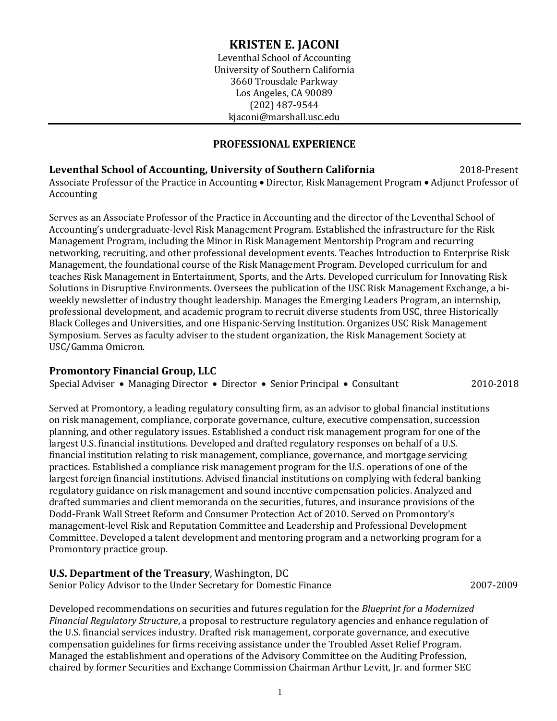# **KRISTEN E. JACONI**

Leventhal School of Accounting University of Southern California 3660 Trousdale Parkway Los Angeles, CA 90089 (202) 487-9544 kjaconi@marshall.usc.edu

### **PROFESSIONAL EXPERIENCE**

### **Leventhal School of Accounting, University of Southern California** 2018-Present Associate Professor of the Practice in Accounting • Director, Risk Management Program • Adjunct Professor of Accounting

Serves as an Associate Professor of the Practice in Accounting and the director of the Leventhal School of Accounting's undergraduate-level Risk Management Program. Established the infrastructure for the Risk Management Program, including the Minor in Risk Management Mentorship Program and recurring networking, recruiting, and other professional development events. Teaches Introduction to Enterprise Risk Management, the foundational course of the Risk Management Program. Developed curriculum for and teaches Risk Management in Entertainment, Sports, and the Arts. Developed curriculum for Innovating Risk Solutions in Disruptive Environments. Oversees the publication of the USC Risk Management Exchange, a biweekly newsletter of industry thought leadership. Manages the Emerging Leaders Program, an internship, professional development, and academic program to recruit diverse students from USC, three Historically Black Colleges and Universities, and one Hispanic-Serving Institution. Organizes USC Risk Management Symposium. Serves as faculty adviser to the student organization, the Risk Management Society at USC/Gamma Omicron.

### **Promontory Financial Group, LLC**

Special Adviser • Managing Director • Director • Senior Principal • Consultant 2010-2018

Served at Promontory, a leading regulatory consulting firm, as an advisor to global financial institutions on risk management, compliance, corporate governance, culture, executive compensation, succession planning, and other regulatory issues. Established a conduct risk management program for one of the largest U.S. financial institutions. Developed and drafted regulatory responses on behalf of a U.S. financial institution relating to risk management, compliance, governance, and mortgage servicing practices. Established a compliance risk management program for the U.S. operations of one of the largest foreign financial institutions. Advised financial institutions on complying with federal banking regulatory guidance on risk management and sound incentive compensation policies. Analyzed and drafted summaries and client memoranda on the securities, futures, and insurance provisions of the Dodd-Frank Wall Street Reform and Consumer Protection Act of 2010. Served on Promontory's management-level Risk and Reputation Committee and Leadership and Professional Development Committee. Developed a talent development and mentoring program and a networking program for a Promontory practice group.

#### **U.S. Department of the Treasury**, Washington, DC Senior Policy Advisor to the Under Secretary for Domestic Finance 2007-2009

Developed recommendations on securities and futures regulation for the *Blueprint for a Modernized Financial Regulatory Structure*, a proposal to restructure regulatory agencies and enhance regulation of the U.S. financial services industry. Drafted risk management, corporate governance, and executive compensation guidelines for firms receiving assistance under the Troubled Asset Relief Program. Managed the establishment and operations of the Advisory Committee on the Auditing Profession, chaired by former Securities and Exchange Commission Chairman Arthur Levitt, Jr. and former SEC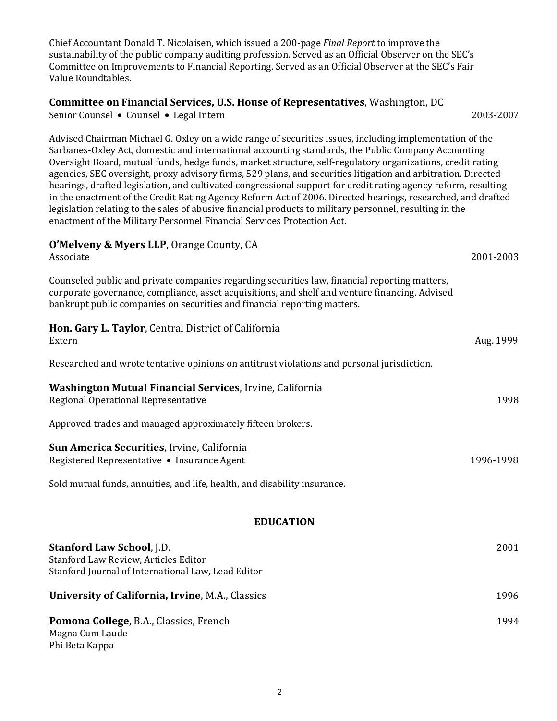Chief Accountant Donald T. Nicolaisen, which issued a 200-page *Final Report* to improve the sustainability of the public company auditing profession. Served as an Official Observer on the SEC's Committee on Improvements to Financial Reporting. Served as an Official Observer at the SEC's Fair Value Roundtables.

### **Committee on Financial Services, U.S. House of Representatives**, Washington, DC

Senior Counsel • Counsel • Legal Intern 2003-2007

Advised Chairman Michael G. Oxley on a wide range of securities issues, including implementation of the Sarbanes-Oxley Act, domestic and international accounting standards, the Public Company Accounting Oversight Board, mutual funds, hedge funds, market structure, self-regulatory organizations, credit rating agencies, SEC oversight, proxy advisory firms, 529 plans, and securities litigation and arbitration. Directed hearings, drafted legislation, and cultivated congressional support for credit rating agency reform, resulting in the enactment of the Credit Rating Agency Reform Act of 2006. Directed hearings, researched, and drafted legislation relating to the sales of abusive financial products to military personnel, resulting in the enactment of the Military Personnel Financial Services Protection Act.

### **O'Melveny & Myers LLP**, Orange County, CA

| Associate                                                                                                                                                                                                                                                                   | 2001-2003 |  |
|-----------------------------------------------------------------------------------------------------------------------------------------------------------------------------------------------------------------------------------------------------------------------------|-----------|--|
| Counseled public and private companies regarding securities law, financial reporting matters,<br>corporate governance, compliance, asset acquisitions, and shelf and venture financing. Advised<br>bankrupt public companies on securities and financial reporting matters. |           |  |
| Hon. Gary L. Taylor, Central District of California<br>Extern                                                                                                                                                                                                               | Aug. 1999 |  |
| Researched and wrote tentative opinions on antitrust violations and personal jurisdiction.                                                                                                                                                                                  |           |  |
| <b>Washington Mutual Financial Services, Irvine, California</b><br>Regional Operational Representative                                                                                                                                                                      | 1998      |  |
| Approved trades and managed approximately fifteen brokers.                                                                                                                                                                                                                  |           |  |
| Sun America Securities, Irvine, California<br>Registered Representative • Insurance Agent                                                                                                                                                                                   | 1996-1998 |  |
| Sold mutual funds, annuities, and life, health, and disability insurance.                                                                                                                                                                                                   |           |  |
| <b>EDUCATION</b>                                                                                                                                                                                                                                                            |           |  |
| <b>Stanford Law School, J.D.</b><br>Stanford Law Review, Articles Editor                                                                                                                                                                                                    | 2001      |  |

Stanford Journal of International Law, Lead Editor

# **University of California, Irvine**, M.A., Classics 1996 **Pomona College**, B.A., Classics, French 1994

Magna Cum Laude Phi Beta Kappa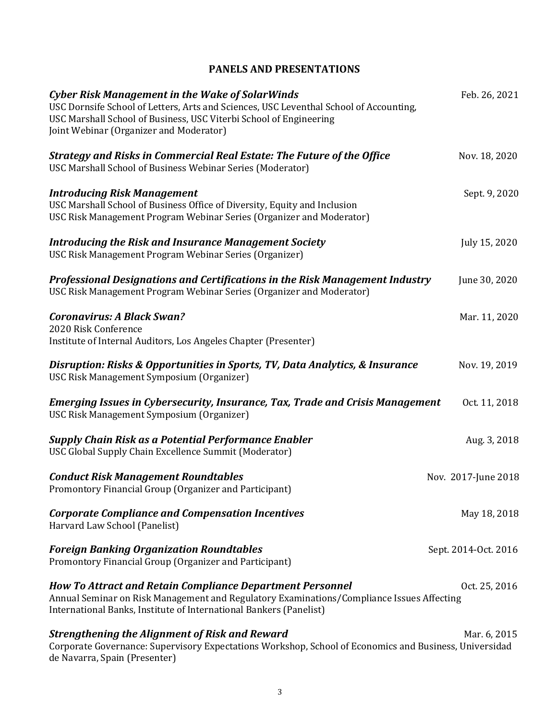# **PANELS AND PRESENTATIONS**

| <b>Cyber Risk Management in the Wake of SolarWinds</b><br>USC Dornsife School of Letters, Arts and Sciences, USC Leventhal School of Accounting,<br>USC Marshall School of Business, USC Viterbi School of Engineering<br>Joint Webinar (Organizer and Moderator) | Feb. 26, 2021        |
|-------------------------------------------------------------------------------------------------------------------------------------------------------------------------------------------------------------------------------------------------------------------|----------------------|
| <b>Strategy and Risks in Commercial Real Estate: The Future of the Office</b><br>USC Marshall School of Business Webinar Series (Moderator)                                                                                                                       | Nov. 18, 2020        |
| <b>Introducing Risk Management</b><br>USC Marshall School of Business Office of Diversity, Equity and Inclusion<br>USC Risk Management Program Webinar Series (Organizer and Moderator)                                                                           | Sept. 9, 2020        |
| <b>Introducing the Risk and Insurance Management Society</b><br>USC Risk Management Program Webinar Series (Organizer)                                                                                                                                            | July 15, 2020        |
| Professional Designations and Certifications in the Risk Management Industry<br>USC Risk Management Program Webinar Series (Organizer and Moderator)                                                                                                              | June 30, 2020        |
| <b>Coronavirus: A Black Swan?</b><br>2020 Risk Conference<br>Institute of Internal Auditors, Los Angeles Chapter (Presenter)                                                                                                                                      | Mar. 11, 2020        |
| Disruption: Risks & Opportunities in Sports, TV, Data Analytics, & Insurance<br>USC Risk Management Symposium (Organizer)                                                                                                                                         | Nov. 19, 2019        |
| <b>Emerging Issues in Cybersecurity, Insurance, Tax, Trade and Crisis Management</b><br>USC Risk Management Symposium (Organizer)                                                                                                                                 | Oct. 11, 2018        |
| <b>Supply Chain Risk as a Potential Performance Enabler</b><br>USC Global Supply Chain Excellence Summit (Moderator)                                                                                                                                              | Aug. 3, 2018         |
| <b>Conduct Risk Management Roundtables</b><br>Promontory Financial Group (Organizer and Participant)                                                                                                                                                              | Nov. 2017-June 2018  |
| <b>Corporate Compliance and Compensation Incentives</b><br>Harvard Law School (Panelist)                                                                                                                                                                          | May 18, 2018         |
| <b>Foreign Banking Organization Roundtables</b><br>Promontory Financial Group (Organizer and Participant)                                                                                                                                                         | Sept. 2014-Oct. 2016 |
| <b>How To Attract and Retain Compliance Department Personnel</b><br>Annual Seminar on Risk Management and Regulatory Examinations/Compliance Issues Affecting<br>International Banks, Institute of International Bankers (Panelist)                               | Oct. 25, 2016        |
| <b>Strengthening the Alignment of Risk and Reward</b><br>Corporate Governance: Supervisory Expectations Workshop, School of Economics and Business, Universidad<br>de Navarra, Spain (Presenter)                                                                  | Mar. 6, 2015         |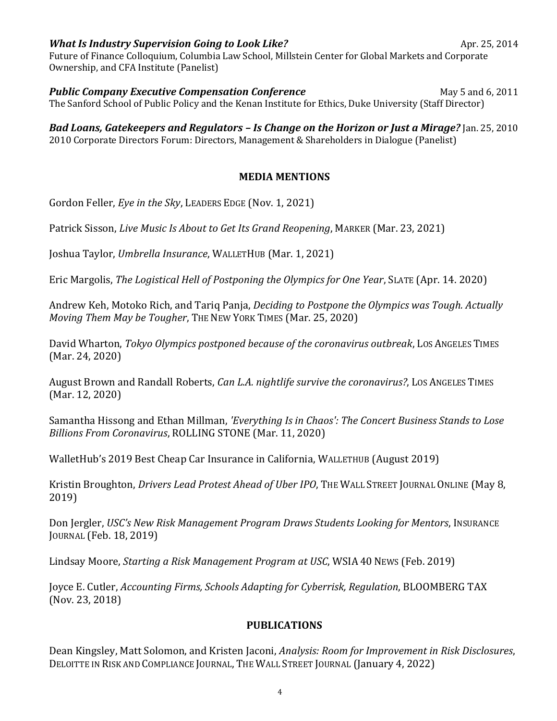# *What Is Industry Supervision Going to Look Like?* **Apr. 25, 2014**

Future of Finance Colloquium, Columbia Law School, Millstein Center for Global Markets and Corporate Ownership, and CFA Institute (Panelist)

**Public Company Executive Compensation Conference May 5 and 6, 2011** The Sanford School of Public Policy and the Kenan Institute for Ethics, Duke University (Staff Director)

*Bad Loans, Gatekeepers and Regulators – Is Change on the Horizon or Just a Mirage?* Jan. 25, 2010 2010 Corporate Directors Forum: Directors, Management & Shareholders in Dialogue (Panelist)

## **MEDIA MENTIONS**

Gordon Feller, *Eye in the Sky*, LEADERS EDGE (Nov. 1, 2021)

Patrick Sisson, *Live Music Is About to Get Its Grand Reopening*, MARKER (Mar. 23, 2021)

Joshua Taylor, *Umbrella Insurance*, WALLETHUB (Mar. 1, 2021)

Eric Margolis, *The Logistical Hell of Postponing the Olympics for One Year*, SLATE (Apr. 14. 2020)

Andrew Keh, Motoko Rich, and Tariq Panja, *Deciding to Postpone the Olympics was Tough. Actually Moving Them May be Tougher*, THE NEW YORK TIMES (Mar. 25, 2020)

David Wharton, *Tokyo Olympics postponed because of the coronavirus outbreak*, LOS ANGELES TIMES (Mar. 24, 2020)

August Brown and Randall Roberts, *Can L.A. nightlife survive the coronavirus?*, LOS ANGELES TIMES (Mar. 12, 2020)

Samantha Hissong and Ethan Millman, *'Everything Is in Chaos': The Concert Business Stands to Lose Billions From Coronavirus*, ROLLING STONE (Mar. 11, 2020)

WalletHub's 2019 Best Cheap Car Insurance in California, WALLETHUB (August 2019)

Kristin Broughton, *Drivers Lead Protest Ahead of Uber IPO*, THE WALL STREET JOURNAL ONLINE (May 8, 2019)

Don Jergler, *USC's New Risk Management Program Draws Students Looking for Mentors*, INSURANCE JOURNAL (Feb. 18, 2019)

Lindsay Moore, *Starting a Risk Management Program at USC*, WSIA 40 NEWS (Feb. 2019)

Joyce E. Cutler, *Accounting Firms, Schools Adapting for Cyberrisk, Regulation*, BLOOMBERG TAX (Nov. 23, 2018)

## **PUBLICATIONS**

Dean Kingsley, Matt Solomon, and Kristen Jaconi, *Analysis: Room for Improvement in Risk Disclosures*, DELOITTE IN RISK AND COMPLIANCE JOURNAL, THE WALL STREET JOURNAL (January 4, 2022)